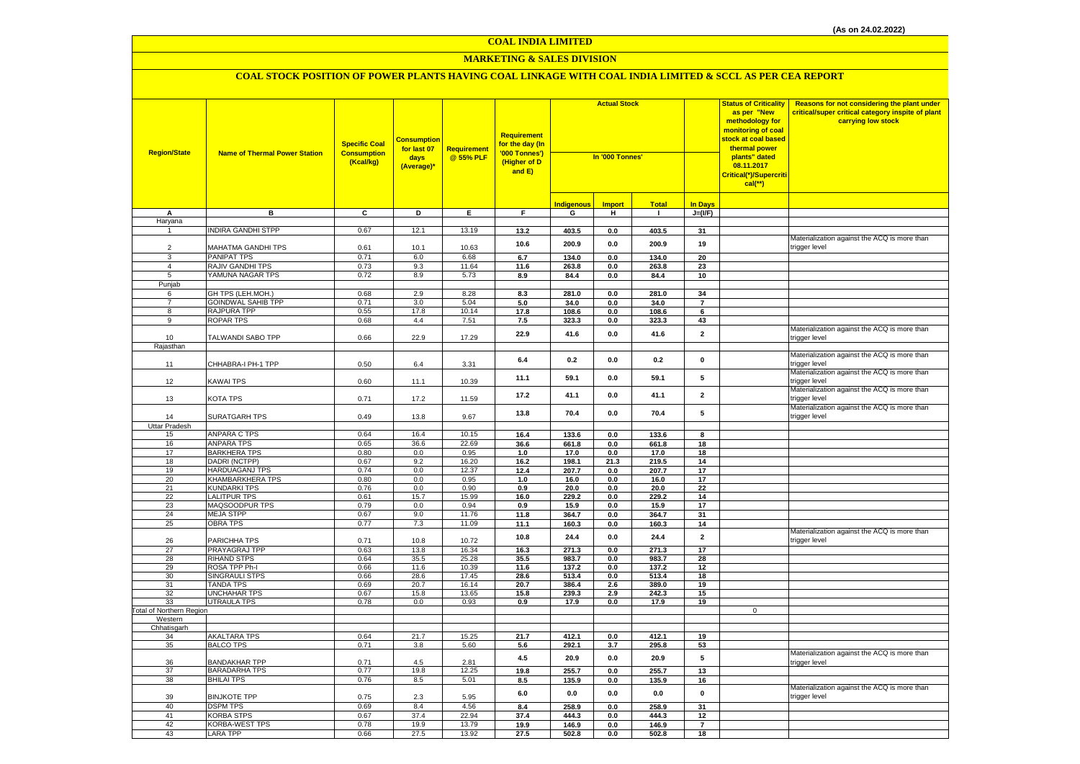#### **MARKETING & SALES DIVISION**

| <b>Region/State</b>             | <b>Name of Thermal Power Station</b> | <b>Specific Coal</b><br><b>Consumption</b><br>(Kcal/kg) | <b>Consumption</b><br>for last 07<br>days<br>(Average)* | Requirement<br>@ 55% PLF | <b>Requirement</b><br>for the day (In<br>'000 Tonnes')<br>(Higher of D<br>and E) | <b>Actual Stock</b><br>In '000 Tonnes' |               | <b>Status of Criticality</b><br>as per "New<br>methodology for<br>monitoring of coal<br>stock at coal based<br>thermal power<br>plants" dated<br><mark>Critical(*)/Supercriti</mark> |                         | Reasons for not considering the plant under<br>critical/super critical category inspite of plant<br>carrying low stock |                                              |
|---------------------------------|--------------------------------------|---------------------------------------------------------|---------------------------------------------------------|--------------------------|----------------------------------------------------------------------------------|----------------------------------------|---------------|--------------------------------------------------------------------------------------------------------------------------------------------------------------------------------------|-------------------------|------------------------------------------------------------------------------------------------------------------------|----------------------------------------------|
|                                 |                                      |                                                         |                                                         |                          |                                                                                  | <b>Indigenous</b>                      | <b>Import</b> | <b>Total</b>                                                                                                                                                                         | <b>In Days</b>          |                                                                                                                        |                                              |
| Α                               | в                                    | $\overline{c}$                                          | Þ                                                       | E                        | F                                                                                | G                                      | н             | $\mathbf{I}$                                                                                                                                                                         | $J=(VF)$                |                                                                                                                        |                                              |
| Haryana                         |                                      |                                                         |                                                         |                          |                                                                                  |                                        |               |                                                                                                                                                                                      |                         |                                                                                                                        |                                              |
|                                 | <b>INDIRA GANDHI STPP</b>            | 0.67                                                    | 12.1                                                    | 13.19                    | 13.2                                                                             | 403.5                                  | $0.0\,$       | 403.5                                                                                                                                                                                | 31                      |                                                                                                                        |                                              |
|                                 |                                      |                                                         |                                                         |                          | 10.6                                                                             | 200.9                                  | $0.0\,$       | 200.9                                                                                                                                                                                | 19                      |                                                                                                                        | Materialization against the ACQ is more than |
| 2                               | MAHATMA GANDHI TPS                   | 0.61                                                    | 10.1                                                    | 10.63                    |                                                                                  |                                        |               |                                                                                                                                                                                      |                         |                                                                                                                        | trigger level                                |
| 3                               | <b>PANIPAT TPS</b>                   | 0.71                                                    | 6.0                                                     | 6.68                     | 6.7                                                                              | 134.0                                  | 0.0           | 134.0                                                                                                                                                                                | 20                      |                                                                                                                        |                                              |
| $\overline{4}$                  | RAJIV GANDHI TPS                     | 0.73                                                    | 9.3                                                     | 11.64                    | 11.6                                                                             | 263.8                                  | 0.0           | 263.8                                                                                                                                                                                | 23                      |                                                                                                                        |                                              |
| 5                               | YAMUNA NAGAR TPS                     | 0.72                                                    | 8.9                                                     | 5.73                     | 8.9                                                                              | 84.4                                   | $0.0\,$       | 84.4                                                                                                                                                                                 | 10                      |                                                                                                                        |                                              |
| Punjab                          |                                      |                                                         |                                                         |                          |                                                                                  |                                        |               |                                                                                                                                                                                      |                         |                                                                                                                        |                                              |
| 6                               | GH TPS (LEH.MOH.)                    | 0.68                                                    | 2.9                                                     | 8.28                     | 8.3                                                                              | 281.0                                  | 0.0           | 281.0                                                                                                                                                                                | 34                      |                                                                                                                        |                                              |
| $\overline{7}$                  | <b>GOINDWAL SAHIB TPP</b>            | 0.71                                                    | 3.0                                                     | 5.04                     | 5.0                                                                              | 34.0                                   | 0.0           | 34.0                                                                                                                                                                                 | $\overline{7}$          |                                                                                                                        |                                              |
| 8                               | RAJPURA TPP                          | 0.55                                                    | 17.8                                                    | 10.14                    | 17.8                                                                             | 108.6                                  | 0.0           | 108.6                                                                                                                                                                                | 6                       |                                                                                                                        |                                              |
| 9                               | <b>ROPAR TPS</b>                     | 0.68                                                    | 4.4                                                     | 7.51                     | 7.5                                                                              | 323.3                                  | 0.0           | 323.3                                                                                                                                                                                | 43                      |                                                                                                                        |                                              |
| 10                              |                                      | 0.66                                                    | 22.9                                                    | 17.29                    | 22.9                                                                             | 41.6                                   | 0.0           | 41.6                                                                                                                                                                                 | $\overline{2}$          |                                                                                                                        | Materialization against the ACQ is more than |
| Rajasthan                       | TALWANDI SABO TPP                    |                                                         |                                                         |                          |                                                                                  |                                        |               |                                                                                                                                                                                      |                         |                                                                                                                        | trigger level                                |
|                                 |                                      |                                                         |                                                         |                          |                                                                                  |                                        |               |                                                                                                                                                                                      |                         |                                                                                                                        | Materialization against the ACQ is more than |
| 11                              | CHHABRA-I PH-1 TPP                   | 0.50                                                    | 6.4                                                     | 3.31                     | $6.4\,$                                                                          | 0.2                                    | $0.0\,$       | 0.2                                                                                                                                                                                  | $\pmb{0}$               |                                                                                                                        | trigger level                                |
|                                 |                                      |                                                         |                                                         |                          |                                                                                  |                                        |               |                                                                                                                                                                                      |                         |                                                                                                                        | Materialization against the ACQ is more than |
| 12                              | <b>KAWAI TPS</b>                     | 0.60                                                    | 11.1                                                    | 10.39                    | 11.1                                                                             | 59.1                                   | 0.0           | 59.1                                                                                                                                                                                 | 5                       |                                                                                                                        | trigger level                                |
|                                 |                                      |                                                         |                                                         |                          |                                                                                  |                                        |               |                                                                                                                                                                                      |                         |                                                                                                                        | Materialization against the ACQ is more than |
| 13                              | KOTA TPS                             | 0.71                                                    | 17.2                                                    | 11.59                    | 17.2                                                                             | 41.1                                   | 0.0           | 41.1                                                                                                                                                                                 | $\overline{2}$          |                                                                                                                        | trigger level                                |
|                                 |                                      |                                                         |                                                         |                          |                                                                                  |                                        |               |                                                                                                                                                                                      |                         |                                                                                                                        | Materialization against the ACQ is more than |
| 14                              | <b>SURATGARH TPS</b>                 | 0.49                                                    | 13.8                                                    | 9.67                     | 13.8                                                                             | 70.4                                   | 0.0           | 70.4                                                                                                                                                                                 | 5                       |                                                                                                                        | trigger level                                |
| Uttar Pradesh                   |                                      |                                                         |                                                         |                          |                                                                                  |                                        |               |                                                                                                                                                                                      |                         |                                                                                                                        |                                              |
| 15                              | ANPARA C TPS                         | 0.64                                                    | 16.4                                                    | 10.15                    | 16.4                                                                             | 133.6                                  | 0.0           | 133.6                                                                                                                                                                                | 8                       |                                                                                                                        |                                              |
| 16                              | <b>ANPARA TPS</b>                    | 0.65                                                    | 36.6                                                    | 22.69                    | 36.6                                                                             | 661.8                                  | $0.0\,$       | 661.8                                                                                                                                                                                | 18                      |                                                                                                                        |                                              |
| 17                              | <b>BARKHERA TPS</b>                  | 0.80                                                    | 0.0                                                     | 0.95                     | 1.0                                                                              | 17.0                                   | 0.0           | 17.0                                                                                                                                                                                 | 18                      |                                                                                                                        |                                              |
| 18                              | DADRI (NCTPP)                        | 0.67                                                    | 9.2                                                     | 16.20                    | 16.2                                                                             | 198.1                                  | 21.3          | 219.5                                                                                                                                                                                | 14                      |                                                                                                                        |                                              |
| 19                              | <b>HARDUAGANJ TPS</b>                | 0.74                                                    | 0.0                                                     | 12.37                    | 12.4                                                                             | 207.7                                  | 0.0           | 207.7                                                                                                                                                                                | 17                      |                                                                                                                        |                                              |
| 20                              | KHAMBARKHERA TPS                     | 0.80                                                    | 0.0                                                     | 0.95                     | 1.0                                                                              | 16.0                                   | 0.0           | 16.0                                                                                                                                                                                 | 17                      |                                                                                                                        |                                              |
| 21                              | <b>KUNDARKI TPS</b>                  | 0.76                                                    | 0.0                                                     | 0.90                     | 0.9                                                                              | 20.0                                   | 0.0           | 20.0                                                                                                                                                                                 | 22                      |                                                                                                                        |                                              |
| 22                              | <b>LALITPUR TPS</b>                  | 0.61                                                    | 15.7                                                    | 15.99                    | 16.0                                                                             | 229.2                                  | 0.0           | 229.2                                                                                                                                                                                | 14                      |                                                                                                                        |                                              |
| 23                              | MAQSOODPUR TPS                       | 0.79                                                    | 0.0                                                     | 0.94                     | 0.9                                                                              | 15.9                                   | $0.0\,$       | 15.9                                                                                                                                                                                 | 17                      |                                                                                                                        |                                              |
| 24                              | <b>MEJA STPP</b>                     | 0.67                                                    | 9.0                                                     | 11.76                    | 11.8                                                                             | 364.7                                  | $0.0\,$       | 364.7                                                                                                                                                                                | 31                      |                                                                                                                        |                                              |
| 25                              | <b>OBRA TPS</b>                      | 0.77                                                    | 7.3                                                     | 11.09                    | 11.1                                                                             | 160.3                                  | 0.0           | 160.3                                                                                                                                                                                | 14                      |                                                                                                                        |                                              |
|                                 |                                      |                                                         |                                                         |                          | 10.8                                                                             | 24.4                                   | 0.0           | 24.4                                                                                                                                                                                 | $\overline{\mathbf{2}}$ |                                                                                                                        | Materialization against the ACQ is more than |
| 26                              | PARICHHA TPS                         | 0.71                                                    | 10.8                                                    | 10.72                    |                                                                                  |                                        |               |                                                                                                                                                                                      |                         |                                                                                                                        | trigger level                                |
| 27                              | PRAYAGRAJ TPP                        | 0.63                                                    | 13.8                                                    | 16.34                    | 16.3                                                                             | 271.3                                  | 0.0           | 271.3                                                                                                                                                                                | 17                      |                                                                                                                        |                                              |
| 28                              | <b>RIHAND STPS</b><br>ROSA TPP Ph-I  | 0.64<br>0.66                                            | 35.5<br>11.6                                            | 25.28<br>10.39           | 35.5                                                                             | 983.7                                  | 0.0           | 983.7                                                                                                                                                                                | 28                      |                                                                                                                        |                                              |
| 29<br>30                        | <b>SINGRAULI STPS</b>                | 0.66                                                    | 28.6                                                    | 17.45                    | 11.6<br>28.6                                                                     | 137.2<br>513.4                         | 0.0<br>0.0    | 137.2<br>513.4                                                                                                                                                                       | 12<br>18                |                                                                                                                        |                                              |
| 31                              | <b>TANDA TPS</b>                     | 0.69                                                    | 20.7                                                    | 16.14                    | 20.7                                                                             | 386.4                                  | 2.6           | 389.0                                                                                                                                                                                | 19                      |                                                                                                                        |                                              |
| 32                              | <b>UNCHAHAR TPS</b>                  | 0.67                                                    | 15.8                                                    | 13.65                    | 15.8                                                                             | 239.3                                  | 2.9           | 242.3                                                                                                                                                                                | 15                      |                                                                                                                        |                                              |
| 33                              | <b>UTRAULA TPS</b>                   | 0.78                                                    | 0.0                                                     | 0.93                     | 0.9                                                                              | 17.9                                   | 0.0           | 17.9                                                                                                                                                                                 | 19                      |                                                                                                                        |                                              |
| <b>Total of Northern Region</b> |                                      |                                                         |                                                         |                          |                                                                                  |                                        |               |                                                                                                                                                                                      |                         | $\mathbf 0$                                                                                                            |                                              |
| Western                         |                                      |                                                         |                                                         |                          |                                                                                  |                                        |               |                                                                                                                                                                                      |                         |                                                                                                                        |                                              |
| Chhatisgarh                     |                                      |                                                         |                                                         |                          |                                                                                  |                                        |               |                                                                                                                                                                                      |                         |                                                                                                                        |                                              |
| 34                              | <b>AKALTARA TPS</b>                  | 0.64                                                    | 21.7                                                    | 15.25                    | 21.7                                                                             | 412.1                                  | 0.0           | 412.1                                                                                                                                                                                | 19                      |                                                                                                                        |                                              |
| 35                              | <b>BALCO TPS</b>                     | 0.71                                                    | 3.8                                                     | 5.60                     | 5.6                                                                              | 292.1                                  | 3.7           | 295.8                                                                                                                                                                                | 53                      |                                                                                                                        |                                              |
|                                 |                                      |                                                         |                                                         |                          | 4.5                                                                              | 20.9                                   | 0.0           | 20.9                                                                                                                                                                                 | 5                       |                                                                                                                        | Materialization against the ACQ is more than |
| 36                              | <b>BANDAKHAR TPP</b>                 | 0.71                                                    | 4.5                                                     | 2.81                     |                                                                                  |                                        |               |                                                                                                                                                                                      |                         |                                                                                                                        | trigger level                                |
| 37                              | <b>BARADARHA TPS</b>                 | 0.77                                                    | 19.8                                                    | 12.25                    | 19.8                                                                             | 255.7                                  | 0.0           | 255.7                                                                                                                                                                                | 13                      |                                                                                                                        |                                              |
| 38                              | <b>BHILAI TPS</b>                    | 0.76                                                    | 8.5                                                     | 5.01                     | 8.5                                                                              | 135.9                                  | 0.0           | 135.9                                                                                                                                                                                | 16                      |                                                                                                                        |                                              |
|                                 |                                      |                                                         |                                                         |                          | 6.0                                                                              | 0.0                                    | 0.0           | 0.0                                                                                                                                                                                  | $\mathbf 0$             |                                                                                                                        | Materialization against the ACQ is more than |
| 39                              | <b>BINJKOTE TPP</b>                  | 0.75                                                    | 2.3                                                     | 5.95                     |                                                                                  |                                        |               |                                                                                                                                                                                      |                         |                                                                                                                        | trigger level                                |
| 40                              | <b>DSPM TPS</b>                      | 0.69                                                    | 8.4                                                     | 4.56                     | 8.4                                                                              | 258.9                                  | 0.0           | 258.9                                                                                                                                                                                | 31                      |                                                                                                                        |                                              |
| 41<br>42                        | <b>KORBA STPS</b>                    | 0.67                                                    | 37.4                                                    | 22.94                    | 37.4                                                                             | 444.3                                  | 0.0           | 444.3                                                                                                                                                                                | 12<br>$\overline{7}$    |                                                                                                                        |                                              |
| 43                              | <b>KORBA-WEST TPS</b>                | 0.78<br>0.66                                            | 19.9<br>27.5                                            | 13.79                    | 19.9                                                                             | 146.9                                  | 0.0<br>0.0    | 146.9                                                                                                                                                                                | 18                      |                                                                                                                        |                                              |
|                                 | <b>LARA TPP</b>                      |                                                         |                                                         | 13.92                    | 27.5                                                                             | 502.8                                  |               | 502.8                                                                                                                                                                                |                         |                                                                                                                        |                                              |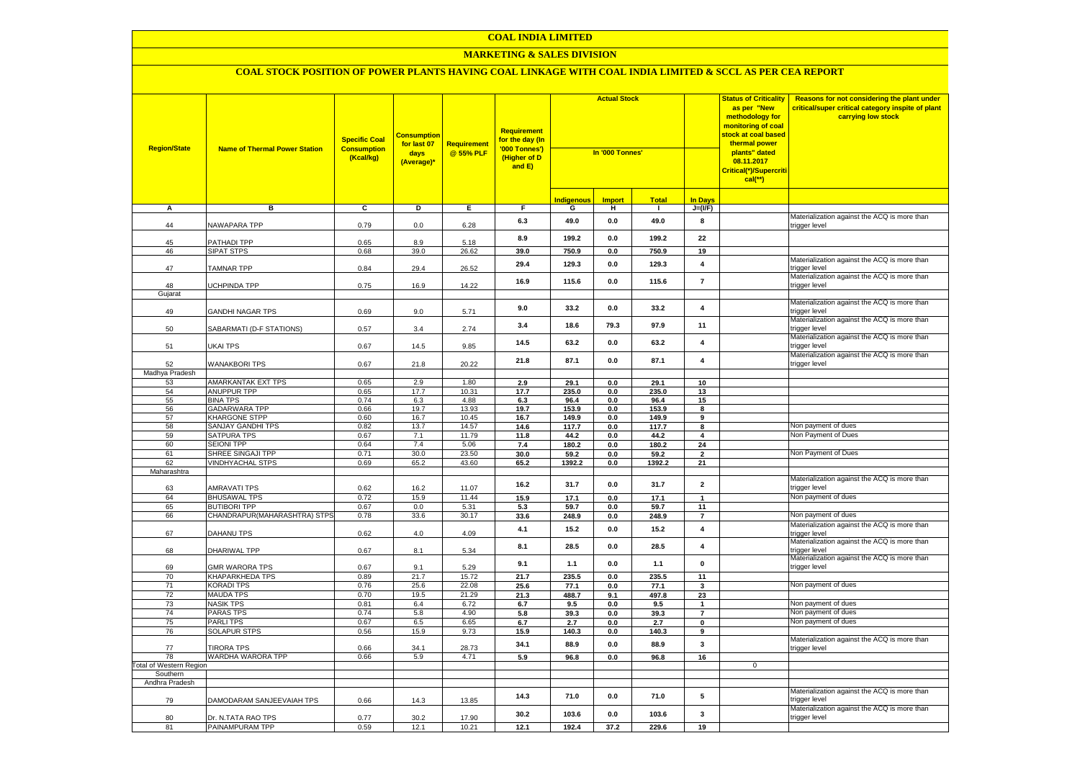#### **MARKETING & SALES DIVISION**

| <b>Region/State</b>     | <b>Name of Thermal Power Station</b>         | <b>Specific Coal</b><br><b>Consumption</b><br>(Kcal/kg) | <b>Consumption</b><br>for last 07<br>days<br>(Average)* | <b>Requirement</b><br>@ 55% PLF | Requirement<br>for the day (In<br>'000 Tonnes')<br>(Higher of D<br>and E) | <b>Actual Stock</b><br>In '000 Tonnes' |                |                | <b>Status of Criticality</b><br>as per "New<br>methodology for<br>monitoring of coal<br><mark>stock at coal based</mark><br>thermal power<br>plants" dated<br>08.11.2017<br><mark>Critical(*)/Supercriti</mark><br>$cal$ (**) |              | Reasons for not considering the plant under<br>critical/super critical category inspite of plant<br>carrying low stock |
|-------------------------|----------------------------------------------|---------------------------------------------------------|---------------------------------------------------------|---------------------------------|---------------------------------------------------------------------------|----------------------------------------|----------------|----------------|-------------------------------------------------------------------------------------------------------------------------------------------------------------------------------------------------------------------------------|--------------|------------------------------------------------------------------------------------------------------------------------|
|                         |                                              |                                                         |                                                         |                                 |                                                                           | <b>Indigenous</b>                      | <b>Import</b>  | <b>Total</b>   | <b>In Davs</b>                                                                                                                                                                                                                |              |                                                                                                                        |
| Α                       | в                                            | c                                                       | Þ                                                       | E                               | F                                                                         | G                                      | н              | $\mathbf{I}$   | $J=(VF)$                                                                                                                                                                                                                      |              |                                                                                                                        |
| 44                      | NAWAPARA TPP                                 | 0.79                                                    | 0.0                                                     | 6.28                            | 6.3                                                                       | 49.0                                   | $\mathbf{0.0}$ | 49.0           | 8                                                                                                                                                                                                                             |              | Materialization against the ACQ is more than<br>trigger level                                                          |
| 45                      | PATHADI TPP                                  | 0.65                                                    | 8.9                                                     | 5.18                            | 8.9                                                                       | 199.2                                  | 0.0            | 199.2          | 22                                                                                                                                                                                                                            |              |                                                                                                                        |
| 46                      | <b>SIPAT STPS</b>                            | 0.68                                                    | 39.0                                                    | 26.62                           | 39.0                                                                      | 750.9                                  | 0.0            | 750.9          | 19                                                                                                                                                                                                                            |              |                                                                                                                        |
| 47                      | <b>TAMNAR TPP</b>                            | 0.84                                                    | 29.4                                                    | 26.52                           | 29.4                                                                      | 129.3                                  | $\mathbf{0.0}$ | 129.3          | $\overline{\mathbf{4}}$                                                                                                                                                                                                       |              | Materialization against the ACQ is more than<br>trigger level                                                          |
| 48                      | UCHPINDA TPP                                 | 0.75                                                    | 16.9                                                    | 14.22                           | 16.9                                                                      | 115.6                                  | 0.0            | 115.6          | $\overline{7}$                                                                                                                                                                                                                |              | Materialization against the ACQ is more than<br>trigger level                                                          |
| Gujarat                 |                                              |                                                         |                                                         |                                 |                                                                           |                                        |                |                |                                                                                                                                                                                                                               |              | Materialization against the ACQ is more than                                                                           |
| 49                      | GANDHI NAGAR TPS                             | 0.69                                                    | 9.0                                                     | 5.71                            | 9.0                                                                       | 33.2                                   | $\mathbf{0.0}$ | 33.2           | $\overline{\mathbf{4}}$                                                                                                                                                                                                       |              | trigger level                                                                                                          |
| 50                      | SABARMATI (D-F STATIONS)                     | 0.57                                                    | 3.4                                                     | 2.74                            | 3.4                                                                       | 18.6                                   | 79.3           | 97.9           | 11                                                                                                                                                                                                                            |              | Materialization against the ACQ is more than<br>trigger level                                                          |
| 51                      | UKAI TPS                                     | 0.67                                                    | 14.5                                                    | 9.85                            | 14.5                                                                      | 63.2                                   | 0.0            | 63.2           | 4                                                                                                                                                                                                                             |              | Materialization against the ACQ is more than<br>trigger level                                                          |
| 52                      | <b>WANAKBORI TPS</b>                         | 0.67                                                    | 21.8                                                    | 20.22                           | 21.8                                                                      | 87.1                                   | 0.0            | 87.1           | $\overline{\mathbf{4}}$                                                                                                                                                                                                       |              | Materialization against the ACQ is more than<br>trigger level                                                          |
| Madhya Pradesh          |                                              |                                                         |                                                         |                                 |                                                                           |                                        |                |                |                                                                                                                                                                                                                               |              |                                                                                                                        |
| 53                      | <b>AMARKANTAK EXT TPS</b>                    | 0.65                                                    | 2.9                                                     | 1.80                            | 2.9                                                                       | 29.1                                   | 0.0            | 29.1           | 10                                                                                                                                                                                                                            |              |                                                                                                                        |
| 54                      | ANUPPUR TPP                                  | 0.65                                                    | 17.7                                                    | 10.31                           | 17.7                                                                      | 235.0                                  | 0.0            | 235.0          | 13                                                                                                                                                                                                                            |              |                                                                                                                        |
| 55                      | <b>BINA TPS</b>                              | 0.74                                                    | 6.3                                                     | 4.88                            | 6.3                                                                       | 96.4                                   | 0.0            | 96.4           | 15                                                                                                                                                                                                                            |              |                                                                                                                        |
| 56<br>57                | <b>GADARWARA TPP</b><br><b>KHARGONE STPP</b> | 0.66<br>0.60                                            | 19.7<br>16.7                                            | 13.93<br>10.45                  | 19.7<br>16.7                                                              | 153.9<br>149.9                         | 0.0<br>0.0     | 153.9<br>149.9 | 8<br>9                                                                                                                                                                                                                        |              |                                                                                                                        |
| 58                      | <b>SANJAY GANDHI TPS</b>                     | 0.82                                                    | 13.7                                                    | 14.57                           | 14.6                                                                      | 117.7                                  | 0.0            | 117.7          | 8                                                                                                                                                                                                                             |              | Non payment of dues                                                                                                    |
| 59                      | <b>SATPURA TPS</b>                           | 0.67                                                    | 7.1                                                     | 11.79                           | 11.8                                                                      | 44.2                                   | 0.0            | 44.2           | $\overline{\mathbf{4}}$                                                                                                                                                                                                       |              | Non Payment of Dues                                                                                                    |
| 60                      | <b>SEIONI TPP</b>                            | 0.64                                                    | 7.4                                                     | 5.06                            | 7.4                                                                       | 180.2                                  | 0.0            | 180.2          | 24                                                                                                                                                                                                                            |              |                                                                                                                        |
| 61                      | SHREE SINGAJI TPP                            | 0.71                                                    | 30.0                                                    | 23.50                           | 30.0                                                                      | 59.2                                   | 0.0            | 59.2           | $\overline{\mathbf{2}}$                                                                                                                                                                                                       |              | Non Payment of Dues                                                                                                    |
| 62                      | <b>VINDHYACHAL STPS</b>                      | 0.69                                                    | 65.2                                                    | 43.60                           | 65.2                                                                      | 1392.2                                 | 0.0            | 1392.2         | 21                                                                                                                                                                                                                            |              |                                                                                                                        |
| Maharashtra             |                                              |                                                         |                                                         |                                 |                                                                           |                                        |                |                |                                                                                                                                                                                                                               |              |                                                                                                                        |
| 63                      | <b>AMRAVATI TPS</b>                          | 0.62                                                    | 16.2                                                    | 11.07                           | 16.2                                                                      | 31.7                                   | $\mathbf{0.0}$ | 31.7           | $\overline{\mathbf{2}}$                                                                                                                                                                                                       |              | Materialization against the ACQ is more than<br>trigger level                                                          |
| 64                      | <b>BHUSAWAL TPS</b>                          | 0.72                                                    | 15.9                                                    | 11.44                           | 15.9                                                                      | 17.1                                   | 0.0            | 17.1           | $\mathbf{1}$                                                                                                                                                                                                                  |              | Non payment of dues                                                                                                    |
| 65                      | <b>BUTIBORI TPP</b>                          | 0.67                                                    | 0.0                                                     | 5.31                            | 5.3                                                                       | 59.7                                   | 0.0            | 59.7           | 11                                                                                                                                                                                                                            |              |                                                                                                                        |
| 66                      | CHANDRAPUR(MAHARASHTRA) STPS                 | 0.78                                                    | 33.6                                                    | 30.17                           | 33.6                                                                      | 248.9                                  | 0.0            | 248.9          | $\overline{7}$                                                                                                                                                                                                                |              | Non payment of dues                                                                                                    |
| 67                      | DAHANU TPS                                   | 0.62                                                    | 4.0                                                     | 4.09                            | 4.1                                                                       | 15.2                                   | 0.0            | 15.2           | 4                                                                                                                                                                                                                             |              | Materialization against the ACQ is more than<br>trigger level                                                          |
| 68                      | DHARIWAL TPP                                 | 0.67                                                    | 8.1                                                     | 5.34                            | 8.1                                                                       | 28.5                                   | 0.0            | 28.5           | $\overline{\mathbf{4}}$                                                                                                                                                                                                       |              | Materialization against the ACQ is more than<br>trigger level                                                          |
| 69                      | <b>GMR WARORA TPS</b>                        | 0.67                                                    | 9.1                                                     | 5.29                            | 9.1                                                                       | 1.1                                    | 0.0            | 1.1            | 0                                                                                                                                                                                                                             |              | Materialization against the ACQ is more than<br>trigger level                                                          |
| 70                      | <b>KHAPARKHEDA TPS</b>                       | 0.89                                                    | 21.7                                                    | 15.72                           | 21.7                                                                      | 235.5                                  | 0.0            | 235.5          | 11                                                                                                                                                                                                                            |              |                                                                                                                        |
| 71<br>72                | <b>KORADI TPS</b><br><b>MAUDA TPS</b>        | 0.76<br>0.70                                            | 25.6<br>19.5                                            | 22.08<br>21.29                  | 25.6<br>21.3                                                              | 77.1<br>488.7                          | 0.0<br>9.1     | 77.1<br>497.8  | $\mathbf{3}$<br>23                                                                                                                                                                                                            |              | Non payment of dues                                                                                                    |
| 73                      | <b>NASIK TPS</b>                             | 0.81                                                    | 6.4                                                     | 6.72                            | 6.7                                                                       | 9.5                                    | $\mathbf{0.0}$ | 9.5            | $\mathbf{1}$                                                                                                                                                                                                                  |              | Non payment of dues                                                                                                    |
| 74                      | <b>PARAS TPS</b>                             | 0.74                                                    | 5.8                                                     | 4.90                            | 5.8                                                                       | 39.3                                   | 0.0            | 39.3           | $\overline{7}$                                                                                                                                                                                                                |              | Non payment of dues                                                                                                    |
| 75                      | <b>PARLITPS</b>                              | 0.67                                                    | 6.5                                                     | 6.65                            | 6.7                                                                       | 2.7                                    | 0.0            | 2.7            | $\mathbf 0$                                                                                                                                                                                                                   |              | Non payment of dues                                                                                                    |
| 76                      | <b>SOLAPUR STPS</b>                          | 0.56                                                    | 15.9                                                    | 9.73                            | 15.9                                                                      | 140.3                                  | 0.0            | 140.3          | 9                                                                                                                                                                                                                             |              |                                                                                                                        |
| 77                      | <b>TIRORA TPS</b>                            | 0.66                                                    | 34.1                                                    | 28.73                           | 34.1                                                                      | 88.9                                   | 0.0            | 88.9           | 3                                                                                                                                                                                                                             |              | Materialization against the ACQ is more than<br>trigger level                                                          |
| 78                      | WARDHA WARORA TPP                            | 0.66                                                    | 5.9                                                     | 4.71                            | 5.9                                                                       | 96.8                                   | 0.0            | 96.8           | 16                                                                                                                                                                                                                            |              |                                                                                                                        |
| Total of Western Region |                                              |                                                         |                                                         |                                 |                                                                           |                                        |                |                |                                                                                                                                                                                                                               | $\mathbf{0}$ |                                                                                                                        |
| Southern                |                                              |                                                         |                                                         |                                 |                                                                           |                                        |                |                |                                                                                                                                                                                                                               |              |                                                                                                                        |
| Andhra Pradesh          |                                              |                                                         |                                                         |                                 |                                                                           |                                        |                |                |                                                                                                                                                                                                                               |              | Materialization against the ACQ is more than                                                                           |
| 79                      | DAMODARAM SANJEEVAIAH TPS                    | 0.66                                                    | 14.3                                                    | 13.85                           | 14.3                                                                      | 71.0                                   | $\mathbf{0.0}$ | 71.0           | ${\bf 5}$                                                                                                                                                                                                                     |              | trigger level                                                                                                          |
| 80                      | Dr. N.TATA RAO TPS                           | 0.77                                                    | 30.2                                                    | 17.90                           | 30.2                                                                      | 103.6                                  | 0.0            | 103.6          | 3                                                                                                                                                                                                                             |              | Materialization against the ACQ is more than<br>trigger level                                                          |
| 81                      | PAINAMPURAM TPP                              | 0.59                                                    | 12.1                                                    | 10.21                           | 12.1                                                                      | 192.4                                  | 37.2           | 229.6          | 19                                                                                                                                                                                                                            |              |                                                                                                                        |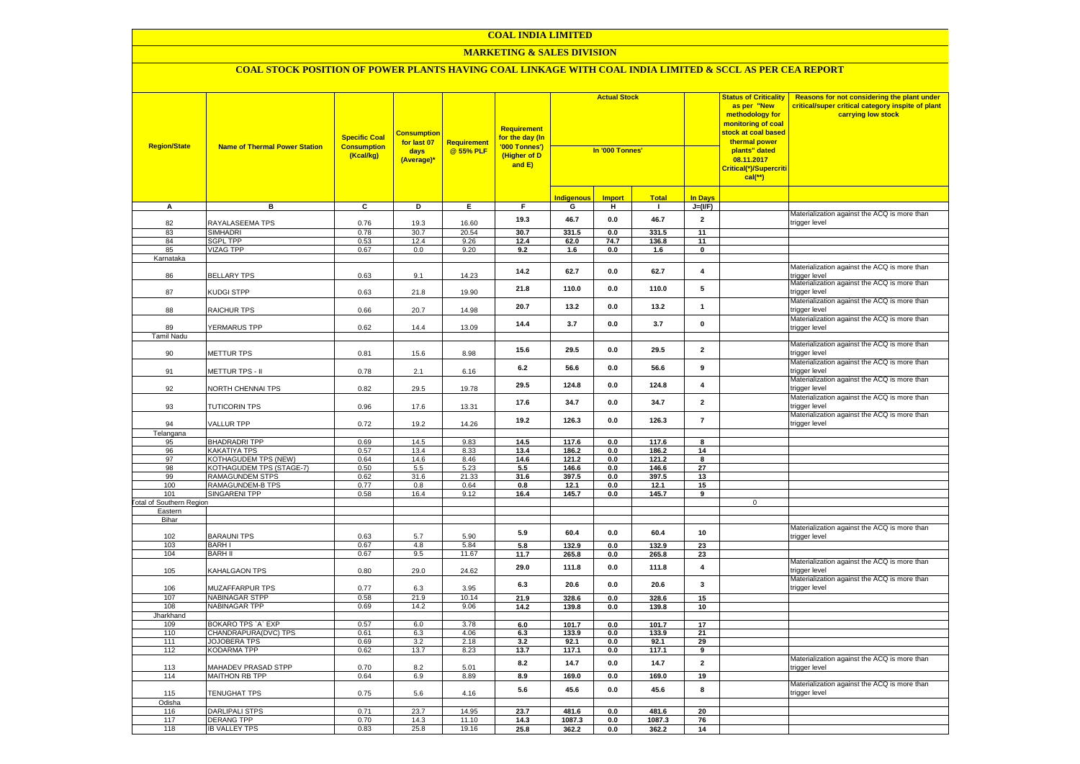#### **MARKETING & SALES DIVISION**

| <b>Region/State</b>                    | <b>Name of Thermal Power Station</b>         | <b>Specific Coal</b><br><b>Consumption</b><br>(Kcal/kg) | <b>Consumption</b><br>for last 07<br>days<br>(Average)* | <b>Requirement</b><br>@ 55% PLF | <b>Requirement</b><br>for the day (In<br>'000 Tonnes')<br>(Higher of D<br>and E) | <b>Actual Stock</b><br>In '000 Tonnes' |                | as per "New<br>methodology for<br>thermal power<br>plants" dated<br>08.11.2017<br>$cal$ (**) |                         | <b>Status of Criticality</b><br>monitoring of coal<br><mark>stock at coal based</mark><br>Critical(*)/Supercriti | Reasons for not considering the plant under<br>critical/super critical category inspite of plant<br>carrying low stock |
|----------------------------------------|----------------------------------------------|---------------------------------------------------------|---------------------------------------------------------|---------------------------------|----------------------------------------------------------------------------------|----------------------------------------|----------------|----------------------------------------------------------------------------------------------|-------------------------|------------------------------------------------------------------------------------------------------------------|------------------------------------------------------------------------------------------------------------------------|
|                                        |                                              |                                                         |                                                         |                                 |                                                                                  | Indigenous                             | <b>Import</b>  | <b>Total</b>                                                                                 | <b>In Days</b>          |                                                                                                                  |                                                                                                                        |
| A                                      | в                                            | C                                                       | D                                                       | Е.                              | F.                                                                               | G                                      | н              | $\blacksquare$                                                                               | $J=(VF)$                |                                                                                                                  |                                                                                                                        |
| 82                                     | RAYALASEEMA TPS                              | 0.76                                                    | 19.3                                                    | 16.60                           | 19.3                                                                             | 46.7                                   | 0.0            | 46.7                                                                                         | $\overline{2}$          |                                                                                                                  | Materialization against the ACQ is more than<br>trigger level                                                          |
| 83                                     | <b>SIMHADRI</b>                              | 0.78                                                    | 30.7                                                    | 20.54                           | 30.7                                                                             | 331.5                                  | 0.0            | 331.5                                                                                        | 11                      |                                                                                                                  |                                                                                                                        |
| 84                                     | <b>SGPL TPP</b>                              | 0.53                                                    | 12.4                                                    | 9.26                            | 12.4                                                                             | 62.0                                   | 74.7           | 136.8                                                                                        | 11                      |                                                                                                                  |                                                                                                                        |
| 85                                     | VIZAG TPP                                    | 0.67                                                    | 0.0                                                     | 9.20                            | 9.2                                                                              | 1.6                                    | 0.0            | 1.6                                                                                          | $\mathbf 0$             |                                                                                                                  |                                                                                                                        |
| Karnataka<br>86                        | <b>BELLARY TPS</b>                           | 0.63                                                    | 9.1                                                     | 14.23                           | 14.2                                                                             | 62.7                                   | $0.0\,$        | 62.7                                                                                         | $\overline{\mathbf{4}}$ |                                                                                                                  | Materialization against the ACQ is more than<br>trigger level                                                          |
| 87                                     | KUDGI STPP                                   | 0.63                                                    | 21.8                                                    | 19.90                           | 21.8                                                                             | 110.0                                  | 0.0            | 110.0                                                                                        | 5                       |                                                                                                                  | Materialization against the ACQ is more than<br>trigger level                                                          |
| 88                                     | RAICHUR TPS                                  | 0.66                                                    | 20.7                                                    | 14.98                           | 20.7                                                                             | 13.2                                   | 0.0            | 13.2                                                                                         | $\mathbf{1}$            |                                                                                                                  | Materialization against the ACQ is more than<br>trigger level                                                          |
| 89                                     | YERMARUS TPP                                 | 0.62                                                    | 14.4                                                    | 13.09                           | 14.4                                                                             | 3.7                                    | 0.0            | 3.7                                                                                          | $\pmb{0}$               |                                                                                                                  | Materialization against the ACQ is more than<br>trigger level                                                          |
| Tamil Nadu                             |                                              |                                                         |                                                         |                                 |                                                                                  |                                        |                |                                                                                              |                         |                                                                                                                  |                                                                                                                        |
| 90                                     | METTUR TPS                                   | 0.81                                                    | 15.6                                                    | 8.98                            | 15.6                                                                             | 29.5                                   | 0.0            | 29.5                                                                                         | $\overline{\mathbf{2}}$ |                                                                                                                  | Materialization against the ACQ is more than<br>trigger level<br>Materialization against the ACQ is more than          |
| 91                                     | METTUR TPS - II                              | 0.78                                                    | 2.1                                                     | 6.16                            | 6.2                                                                              | 56.6                                   | 0.0            | 56.6                                                                                         | 9                       |                                                                                                                  | rigger level<br>Materialization against the ACQ is more than                                                           |
| 92                                     | NORTH CHENNAI TPS                            | 0.82                                                    | 29.5                                                    | 19.78                           | 29.5                                                                             | 124.8                                  | 0.0            | 124.8                                                                                        | $\pmb{4}$               |                                                                                                                  | rigger level<br>Materialization against the ACQ is more than                                                           |
| 93                                     | <b>TUTICORIN TPS</b>                         | 0.96                                                    | 17.6                                                    | 13.31                           | 17.6                                                                             | 34.7                                   | 0.0            | 34.7                                                                                         | $\overline{\mathbf{2}}$ |                                                                                                                  | rigger level<br>Materialization against the ACQ is more than                                                           |
| 94<br>Telangana                        | VALLUR TPP                                   | 0.72                                                    | 19.2                                                    | 14.26                           | 19.2                                                                             | 126.3                                  | 0.0            | 126.3                                                                                        | $\overline{7}$          |                                                                                                                  | rigger level                                                                                                           |
| 95                                     | <b>BHADRADRI TPP</b>                         | 0.69                                                    | 14.5                                                    | 9.83                            | 14.5                                                                             | 117.6                                  | 0.0            | 117.6                                                                                        | 8                       |                                                                                                                  |                                                                                                                        |
| 96                                     | <b>KAKATIYA TPS</b>                          | 0.57                                                    | 13.4                                                    | 8.33                            | 13.4                                                                             | 186.2                                  | 0.0            | 186.2                                                                                        | 14                      |                                                                                                                  |                                                                                                                        |
| 97                                     | <b>KOTHAGUDEM TPS (NEW)</b>                  | 0.64                                                    | 14.6                                                    | 8.46                            | 14.6                                                                             | 121.2                                  | 0.0            | 121.2                                                                                        | 8                       |                                                                                                                  |                                                                                                                        |
| 98                                     | KOTHAGUDEM TPS (STAGE-7)                     | 0.50                                                    | 5.5                                                     | 5.23                            | 5.5                                                                              | 146.6                                  | 0.0            | 146.6                                                                                        | 27                      |                                                                                                                  |                                                                                                                        |
| 99                                     | RAMAGUNDEM STPS                              | 0.62                                                    | 31.6                                                    | 21.33                           | 31.6                                                                             | 397.5                                  | 0.0            | 397.5                                                                                        | 13                      |                                                                                                                  |                                                                                                                        |
| 100                                    | RAMAGUNDEM-B TPS                             | 0.77                                                    | 0.8                                                     | 0.64                            | 0.8                                                                              | 12.1                                   | 0.0            | 12.1                                                                                         | 15                      |                                                                                                                  |                                                                                                                        |
| 101<br><b>Fotal of Southern Region</b> | SINGARENI TPP                                | 0.58                                                    | 16.4                                                    | 9.12                            | 16.4                                                                             | 145.7                                  | 0.0            | 145.7                                                                                        | 9                       | $\mathsf 0$                                                                                                      |                                                                                                                        |
| Eastern                                |                                              |                                                         |                                                         |                                 |                                                                                  |                                        |                |                                                                                              |                         |                                                                                                                  |                                                                                                                        |
| Bihar                                  |                                              |                                                         |                                                         |                                 |                                                                                  |                                        |                |                                                                                              |                         |                                                                                                                  |                                                                                                                        |
| 102                                    | <b>BARAUNI TPS</b>                           | 0.63                                                    | 5.7                                                     | 5.90                            | 5.9                                                                              | 60.4                                   | 0.0            | 60.4                                                                                         | 10                      |                                                                                                                  | Materialization against the ACQ is more than<br>rigger level                                                           |
| 103                                    | <b>BARHI</b>                                 | 0.67                                                    | 4.8                                                     | 5.84                            | 5.8                                                                              | 132.9                                  | 0.0            | 132.9                                                                                        | 23                      |                                                                                                                  |                                                                                                                        |
| 104                                    | <b>BARH II</b>                               | 0.67                                                    | 9.5                                                     | 11.67                           | 11.7                                                                             | 265.8                                  | 0.0            | 265.8                                                                                        | 23                      |                                                                                                                  |                                                                                                                        |
| 105                                    | KAHALGAON TPS                                | 0.80                                                    | 29.0                                                    | 24.62                           | 29.0                                                                             | 111.8                                  | 0.0            | 111.8                                                                                        | $\overline{\mathbf{4}}$ |                                                                                                                  | Materialization against the ACQ is more than<br>rigger level<br>Materialization against the ACQ is more than           |
| 106<br>107                             | <b>MUZAFFARPUR TPS</b><br>NABINAGAR STPP     | 0.77<br>0.58                                            | 6.3<br>21.9                                             | 3.95<br>10.14                   | 6.3<br>21.9                                                                      | 20.6<br>328.6                          | 0.0            | 20.6                                                                                         | $\mathbf{3}$<br>15      |                                                                                                                  | rigger level                                                                                                           |
| 108                                    | NABINAGAR TPP                                | 0.69                                                    | 14.2                                                    | 9.06                            | 14.2                                                                             | 139.8                                  | 0.0<br>0.0     | 328.6<br>139.8                                                                               | 10                      |                                                                                                                  |                                                                                                                        |
| Jharkhand                              |                                              |                                                         |                                                         |                                 |                                                                                  |                                        |                |                                                                                              |                         |                                                                                                                  |                                                                                                                        |
| 109                                    | BOKARO TPS `A` EXP                           | 0.57                                                    | 6.0                                                     | 3.78                            | 6.0                                                                              | 101.7                                  | 0.0            | 101.7                                                                                        | 17                      |                                                                                                                  |                                                                                                                        |
| 110                                    | CHANDRAPURA(DVC) TPS                         | 0.61                                                    | 6.3                                                     | 4.06                            | 6.3                                                                              | 133.9                                  | 0.0            | 133.9                                                                                        | 21                      |                                                                                                                  |                                                                                                                        |
| 111                                    | JOJOBERA TPS                                 | 0.69                                                    | 3.2                                                     | 2.18                            | 3.2                                                                              | 92.1                                   | 0.0            | 92.1                                                                                         | 29                      |                                                                                                                  |                                                                                                                        |
| 112                                    | KODARMA TPP                                  | 0.62                                                    | 13.7                                                    | 8.23                            | 13.7<br>8.2                                                                      | 117.1<br>14.7                          | 0.0<br>0.0     | 117.1<br>14.7                                                                                | 9<br>$\overline{2}$     |                                                                                                                  | Materialization against the ACQ is more than                                                                           |
| 113<br>114                             | <b>MAHADEV PRASAD STPP</b><br>MAITHON RB TPP | 0.70<br>0.64                                            | 8.2<br>6.9                                              | 5.01<br>8.89                    | 8.9                                                                              | 169.0                                  | 0.0            | 169.0                                                                                        | 19                      |                                                                                                                  | rigger level                                                                                                           |
| 115                                    | TENUGHAT TPS                                 | 0.75                                                    | 5.6                                                     | 4.16                            | 5.6                                                                              | 45.6                                   | 0.0            | 45.6                                                                                         | 8                       |                                                                                                                  | Materialization against the ACQ is more than<br>trigger level                                                          |
| Odisha                                 |                                              |                                                         |                                                         |                                 |                                                                                  |                                        |                |                                                                                              |                         |                                                                                                                  |                                                                                                                        |
| 116                                    | <b>DARLIPALI STPS</b>                        | 0.71                                                    | 23.7                                                    | 14.95                           | 23.7                                                                             | 481.6                                  | 0.0            | 481.6                                                                                        | 20                      |                                                                                                                  |                                                                                                                        |
| 117                                    | <b>DERANG TPP</b>                            | 0.70                                                    | 14.3                                                    | 11.10                           | 14.3                                                                             | 1087.3                                 | $\mathbf{0.0}$ | 1087.3                                                                                       | 76                      |                                                                                                                  |                                                                                                                        |
| 118                                    | <b>IB VALLEY TPS</b>                         | 0.83                                                    | 25.8                                                    | 19.16                           | 25.8                                                                             | 362.2                                  | 0.0            | 362.2                                                                                        | 14                      |                                                                                                                  |                                                                                                                        |